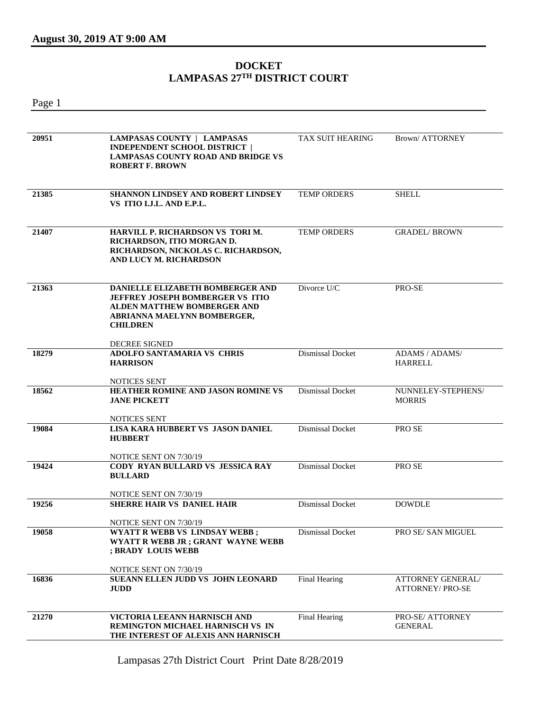## **DOCKET LAMPASAS 27TH DISTRICT COURT**

Page 1 **20951 LAMPASAS COUNTY | LAMPASAS INDEPENDENT SCHOOL DISTRICT | LAMPASAS COUNTY ROAD AND BRIDGE VS ROBERT F. BROWN** TAX SUIT HEARING Brown/ ATTORNEY **21385 SHANNON LINDSEY AND ROBERT LINDSEY VS ITIO I.J.L. AND E.P.L.** TEMP ORDERS SHELL **21407 HARVILL P. RICHARDSON VS TORI M. RICHARDSON, ITIO MORGAN D. RICHARDSON, NICKOLAS C. RICHARDSON, AND LUCY M. RICHARDSON** TEMP ORDERS GRADEL/ BROWN **21363 DANIELLE ELIZABETH BOMBERGER AND JEFFREY JOSEPH BOMBERGER VS ITIO ALDEN MATTHEW BOMBERGER AND ABRIANNA MAELYNN BOMBERGER, CHILDREN** DECREE SIGNED Divorce U/C PRO-SE **18279 ADOLFO SANTAMARIA VS CHRIS HARRISON** NOTICES SENT Dismissal Docket ADAMS / ADAMS/ HARRELL **18562 HEATHER ROMINE AND JASON ROMINE VS JANE PICKETT** NOTICES SENT Dismissal Docket NUNNELEY-STEPHENS/ MORRIS **19084 LISA KARA HUBBERT VS JASON DANIEL HUBBERT** NOTICE SENT ON 7/30/19 Dismissal Docket PRO SE **19424 CODY RYAN BULLARD VS JESSICA RAY BULLARD** NOTICE SENT ON 7/30/19 Dismissal Docket PRO SE **19256 SHERRE HAIR VS DANIEL HAIR** NOTICE SENT ON 7/30/19 Dismissal Docket DOWDLE **19058 WYATT R WEBB VS LINDSAY WEBB ; WYATT R WEBB JR ; GRANT WAYNE WEBB ; BRADY LOUIS WEBB** NOTICE SENT ON 7/30/19 Dismissal Docket PRO SE/ SAN MIGUEL **16836 SUEANN ELLEN JUDD VS JOHN LEONARD JUDD** Final Hearing **ATTORNEY GENERAL**/ ATTORNEY/ PRO-SE **21270 VICTORIA LEEANN HARNISCH AND REMINGTON MICHAEL HARNISCH VS IN THE INTEREST OF ALEXIS ANN HARNISCH** Final Hearing PRO-SE/ ATTORNEY GENERAL